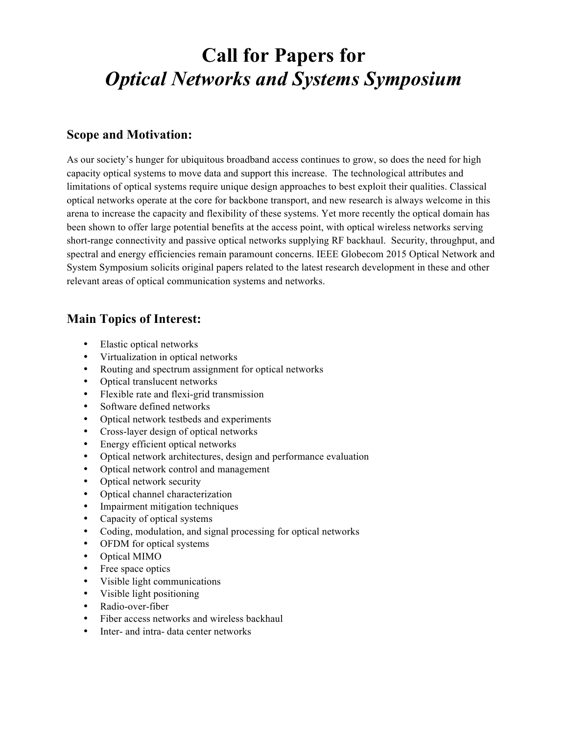# **Call for Papers for** *Optical Networks and Systems Symposium*

#### **Scope and Motivation:**

As our society's hunger for ubiquitous broadband access continues to grow, so does the need for high capacity optical systems to move data and support this increase. The technological attributes and limitations of optical systems require unique design approaches to best exploit their qualities. Classical optical networks operate at the core for backbone transport, and new research is always welcome in this arena to increase the capacity and flexibility of these systems. Yet more recently the optical domain has been shown to offer large potential benefits at the access point, with optical wireless networks serving short-range connectivity and passive optical networks supplying RF backhaul. Security, throughput, and spectral and energy efficiencies remain paramount concerns. IEEE Globecom 2015 Optical Network and System Symposium solicits original papers related to the latest research development in these and other relevant areas of optical communication systems and networks.

## **Main Topics of Interest:**

- Elastic optical networks
- Virtualization in optical networks
- Routing and spectrum assignment for optical networks
- Optical translucent networks
- Flexible rate and flexi-grid transmission
- Software defined networks
- Optical network testbeds and experiments
- Cross-layer design of optical networks
- Energy efficient optical networks
- Optical network architectures, design and performance evaluation
- Optical network control and management
- Optical network security
- Optical channel characterization
- Impairment mitigation techniques
- Capacity of optical systems
- Coding, modulation, and signal processing for optical networks
- OFDM for optical systems
- Optical MIMO
- Free space optics
- Visible light communications
- Visible light positioning
- Radio-over-fiber
- Fiber access networks and wireless backhaul
- Inter- and intra- data center networks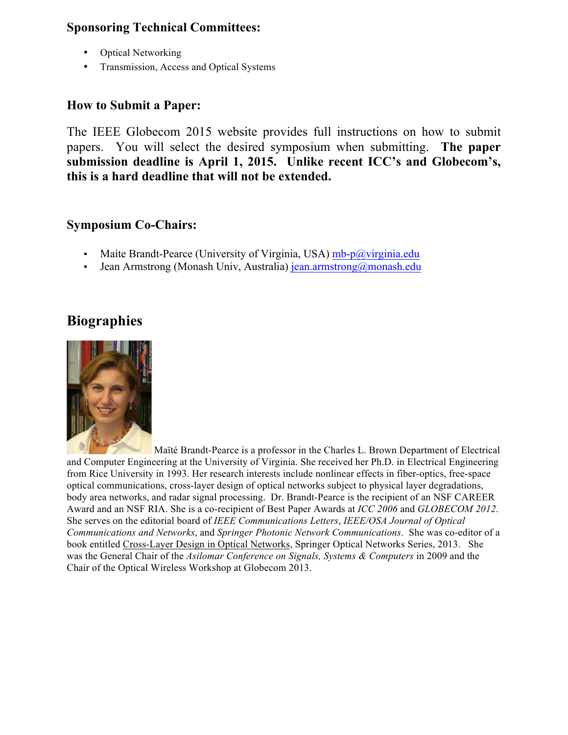## **Sponsoring Technical Committees:**

- Optical Networking
- Transmission, Access and Optical Systems

#### **How to Submit a Paper:**

The IEEE Globecom 2015 website provides full instructions on how to submit papers. You will select the desired symposium when submitting. **The paper submission deadline is April 1, 2015. Unlike recent ICC's and Globecom's, this is a hard deadline that will not be extended.**

#### **Symposium Co-Chairs:**

- Maite Brandt-Pearce (University of Virginia, USA)  $mb-p@$ virginia.edu
- Jean Armstrong (Monash Univ, Australia) jean.armstrong@monash.edu

# **Biographies**



Maïté Brandt-Pearce is a professor in the Charles L. Brown Department of Electrical and Computer Engineering at the University of Virginia. She received her Ph.D. in Electrical Engineering from Rice University in 1993. Her research interests include nonlinear effects in fiber-optics, free-space optical communications, cross-layer design of optical networks subject to physical layer degradations, body area networks, and radar signal processing. Dr. Brandt-Pearce is the recipient of an NSF CAREER Award and an NSF RIA. She is a co-recipient of Best Paper Awards at *ICC 2006* and *GLOBECOM 2012*. She serves on the editorial board of *IEEE Communications Letters*, *IEEE/OSA Journal of Optical Communications and Networks*, and *Springer Photonic Network Communications*. She was co-editor of a book entitled Cross-Layer Design in Optical Networks, Springer Optical Networks Series, 2013. She was the General Chair of the *Asilomar Conference on Signals, Systems & Computers* in 2009 and the Chair of the Optical Wireless Workshop at Globecom 2013.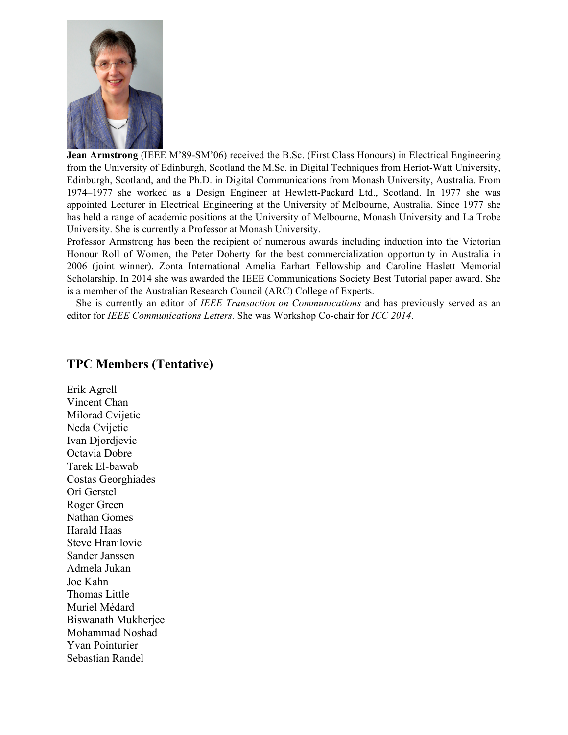

**Jean Armstrong** (IEEE M'89-SM'06) received the B.Sc. (First Class Honours) in Electrical Engineering from the University of Edinburgh, Scotland the M.Sc. in Digital Techniques from Heriot-Watt University, Edinburgh, Scotland, and the Ph.D. in Digital Communications from Monash University, Australia. From 1974–1977 she worked as a Design Engineer at Hewlett-Packard Ltd., Scotland. In 1977 she was appointed Lecturer in Electrical Engineering at the University of Melbourne, Australia. Since 1977 she has held a range of academic positions at the University of Melbourne, Monash University and La Trobe University. She is currently a Professor at Monash University.

Professor Armstrong has been the recipient of numerous awards including induction into the Victorian Honour Roll of Women, the Peter Doherty for the best commercialization opportunity in Australia in 2006 (joint winner), Zonta International Amelia Earhart Fellowship and Caroline Haslett Memorial Scholarship. In 2014 she was awarded the IEEE Communications Society Best Tutorial paper award. She is a member of the Australian Research Council (ARC) College of Experts.

She is currently an editor of *IEEE Transaction on Communications* and has previously served as an editor for *IEEE Communications Letters.* She was Workshop Co-chair for *ICC 2014*.

#### **TPC Members (Tentative)**

Erik Agrell Vincent Chan Milorad Cvijetic Neda Cvijetic Ivan Djordjevic Octavia Dobre Tarek El-bawab Costas Georghiades Ori Gerstel Roger Green Nathan Gomes Harald Haas Steve Hranilovic Sander Janssen Admela Jukan Joe Kahn Thomas Little Muriel Médard Biswanath Mukherjee Mohammad Noshad Yvan Pointurier Sebastian Randel